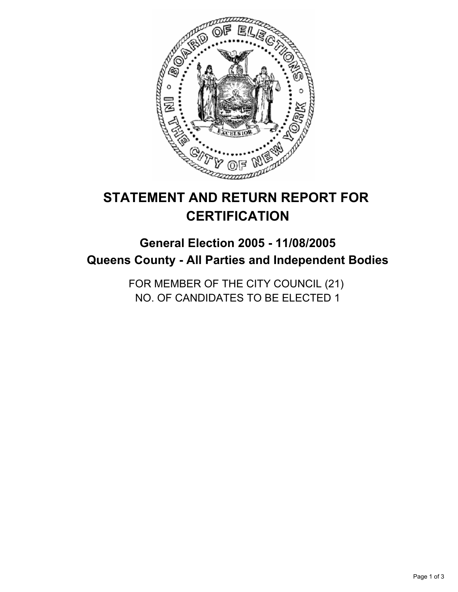

# **STATEMENT AND RETURN REPORT FOR CERTIFICATION**

# **General Election 2005 - 11/08/2005 Queens County - All Parties and Independent Bodies**

FOR MEMBER OF THE CITY COUNCIL (21) NO. OF CANDIDATES TO BE ELECTED 1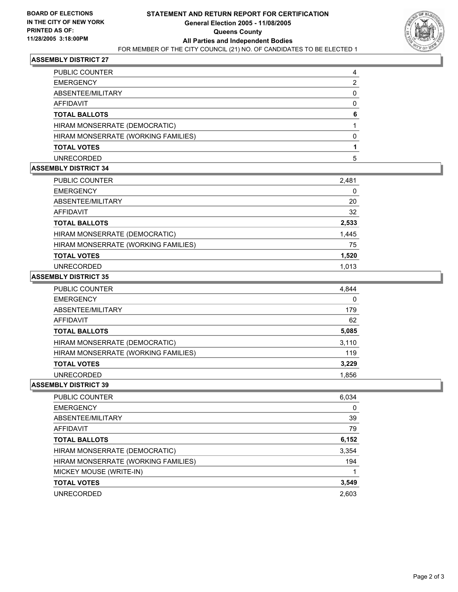

## **ASSEMBLY DISTRICT 27**

| PUBLIC COUNTER                      |  |
|-------------------------------------|--|
| <b>EMERGENCY</b>                    |  |
| ABSENTEE/MILITARY                   |  |
| AFFIDAVIT                           |  |
| <b>TOTAL BALLOTS</b>                |  |
| HIRAM MONSERRATE (DEMOCRATIC)       |  |
| HIRAM MONSERRATE (WORKING FAMILIES) |  |
| <b>TOTAL VOTES</b>                  |  |
| <b>UNRECORDED</b>                   |  |

#### **ASSEMBLY DISTRICT 34**

| PUBLIC COUNTER                      | 2,481 |
|-------------------------------------|-------|
| <b>EMERGENCY</b>                    | 0     |
| ABSENTEE/MILITARY                   | 20    |
| AFFIDAVIT                           | 32    |
| <b>TOTAL BALLOTS</b>                | 2,533 |
| HIRAM MONSERRATE (DEMOCRATIC)       | 1,445 |
| HIRAM MONSERRATE (WORKING FAMILIES) | 75    |
| <b>TOTAL VOTES</b>                  | 1,520 |
| <b>UNRECORDED</b>                   | 1.013 |

#### **ASSEMBLY DISTRICT 35**

| PUBLIC COUNTER                      | 4,844 |
|-------------------------------------|-------|
| <b>EMERGENCY</b>                    | 0     |
| ABSENTEE/MILITARY                   | 179   |
| <b>AFFIDAVIT</b>                    | 62    |
| <b>TOTAL BALLOTS</b>                | 5,085 |
| HIRAM MONSERRATE (DEMOCRATIC)       | 3,110 |
| HIRAM MONSERRATE (WORKING FAMILIES) | 119   |
| <b>TOTAL VOTES</b>                  | 3,229 |
| UNRECORDED                          | 1,856 |

#### **ASSEMBLY DISTRICT 39**

| <b>PUBLIC COUNTER</b>               | 6,034 |
|-------------------------------------|-------|
| <b>EMERGENCY</b>                    |       |
| ABSENTEE/MILITARY                   | 39    |
| AFFIDAVIT                           | 79    |
| <b>TOTAL BALLOTS</b>                | 6,152 |
| HIRAM MONSERRATE (DEMOCRATIC)       | 3,354 |
| HIRAM MONSERRATE (WORKING FAMILIES) | 194   |
| MICKEY MOUSE (WRITE-IN)             |       |
| <b>TOTAL VOTES</b>                  | 3,549 |
| <b>UNRECORDED</b>                   | 2.603 |